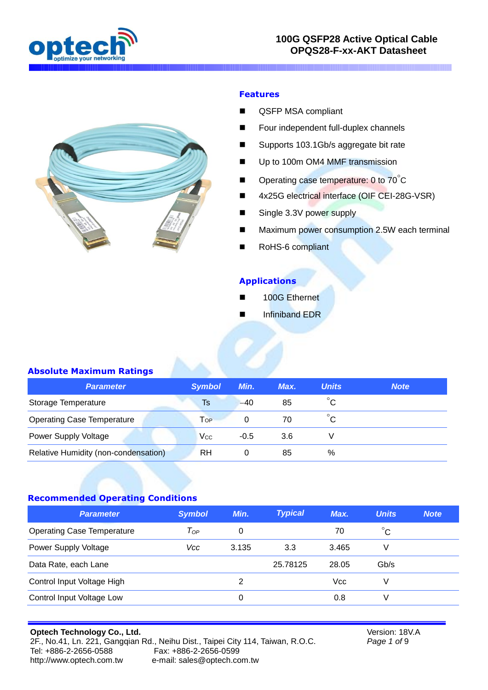



#### **Features**

- **QSFP MSA compliant**
- Four independent full-duplex channels
- Supports 103.1Gb/s aggregate bit rate
- Up to 100m OM4 MMF transmission
- **Depending case temperature: 0 to 70 °C**
- 4x25G electrical interface (OIF CEI-28G-VSR)
- Single 3.3V power supply
- Maximum power consumption 2.5W each terminal
- RoHS-6 compliant

#### **Applications**

- 100G Ethernet
- Infiniband EDR

#### **Absolute Maximum Ratings**

| Parameter                            | <b>Symbol</b> | Min.   | Max. | <b>Units</b> | <b>Note</b> |
|--------------------------------------|---------------|--------|------|--------------|-------------|
| Storage Temperature                  | Ts            | $-40$  | 85   | $^{\circ}$ C |             |
| <b>Operating Case Temperature</b>    | Top           |        | 70   | $^{\circ}$ C |             |
| <b>Power Supply Voltage</b>          | Vcc           | $-0.5$ | 3.6  |              |             |
| Relative Humidity (non-condensation) | RH            |        | 85   | %            |             |

## **Recommended Operating Conditions**

| <b>Parameter</b>                  | <b>Symbol</b> | Min.  | <b>Typical</b> | Max.  | <b>Units</b> | <b>Note</b> |
|-----------------------------------|---------------|-------|----------------|-------|--------------|-------------|
| <b>Operating Case Temperature</b> | $T_{OP}$      | 0     |                | 70    | $^{\circ}$ C |             |
| <b>Power Supply Voltage</b>       | Vcc           | 3.135 | 3.3            | 3.465 | V            |             |
| Data Rate, each Lane              |               |       | 25.78125       | 28.05 | Gb/s         |             |
| Control Input Voltage High        |               | 2     |                | Vcc   | V            |             |
| Control Input Voltage Low         |               | 0     |                | 0.8   | V            |             |

#### **Optech Technology Co., Ltd.** 2F., No.41, Ln. 221, Gangqian Rd., Neihu Dist., Taipei City 114, Taiwan, R.O.C. Tel: +886-2-2656-0588 Fax: +886-2-2656-0599 [http://www.optech.com.tw](http://www.optech.com.tw/) e-mail: sales@optech.com.tw

Version: 18V.A *Page 1 of* 9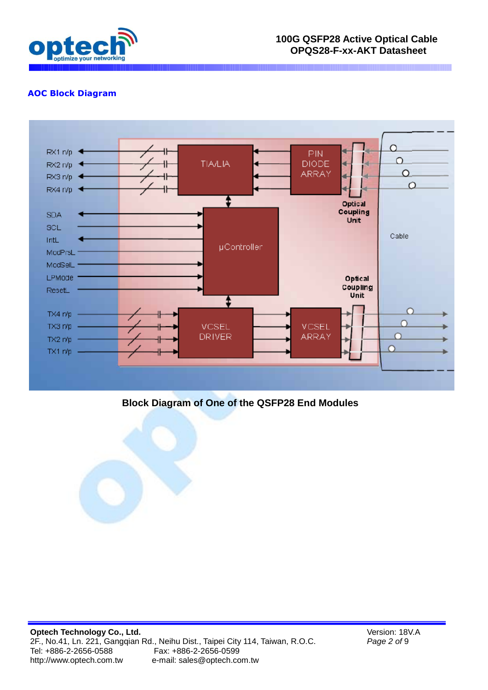

## **AOC Block Diagram**



## **Block Diagram of One of the QSFP28 End Modules**

Version: 18V.A *Page 2 of* 9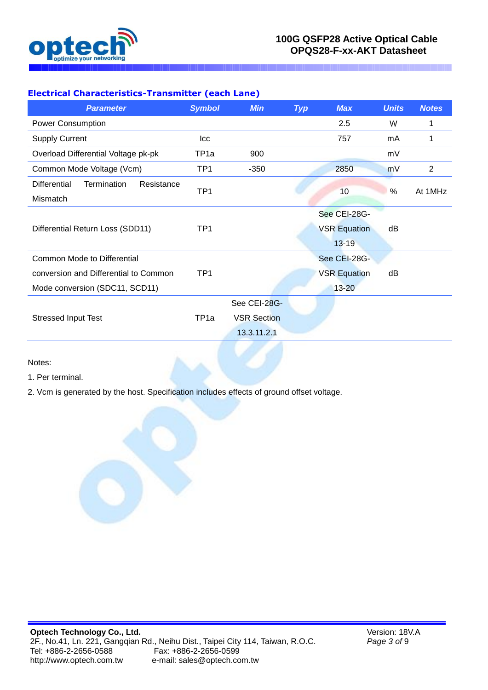

# **Electrical Characteristics-Transmitter (each Lane)**

|                  |                  | 2.5                                | W  |         |
|------------------|------------------|------------------------------------|----|---------|
|                  |                  | 757                                | mA |         |
| 900              |                  |                                    | mV |         |
| $-350$           |                  | 2850                               | mV | 2       |
|                  |                  |                                    |    | At 1MHz |
|                  |                  |                                    |    |         |
|                  |                  | See CEI-28G-                       |    |         |
|                  |                  | <b>VSR Equation</b>                | dB |         |
|                  |                  | $13 - 19$                          |    |         |
|                  |                  | See CEI-28G-                       |    |         |
|                  |                  | <b>VSR Equation</b>                | dB |         |
|                  |                  | $13 - 20$                          |    |         |
|                  |                  |                                    |    |         |
|                  |                  |                                    |    |         |
| 13.3.11.2.1      |                  |                                    |    |         |
| TP <sub>1a</sub> | TP <sub>1a</sub> | See CEI-28G-<br><b>VSR Section</b> | 10 | %       |

Notes:

- 1. Per terminal.
- 2. Vcm is generated by the host. Specification includes effects of ground offset voltage.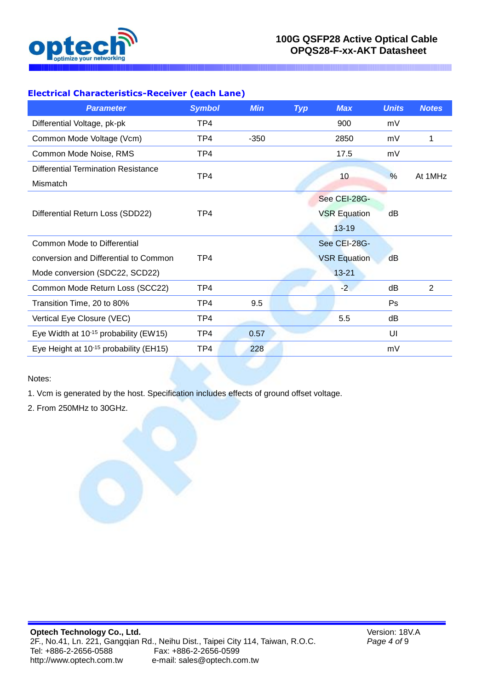

# **Electrical Characteristics-Receiver (each Lane)**

| <b>Parameter</b>                                   | <b>Symbol</b> | <b>Min</b> | <b>Typ</b> | <b>Max</b>          | <b>Units</b> | <b>Notes</b> |
|----------------------------------------------------|---------------|------------|------------|---------------------|--------------|--------------|
| Differential Voltage, pk-pk                        | TP4           |            |            | 900                 | mV           |              |
| Common Mode Voltage (Vcm)                          | TP4           | $-350$     |            | 2850                | mV           | 1            |
| Common Mode Noise, RMS                             | TP4           |            |            | 17.5                | mV           |              |
| <b>Differential Termination Resistance</b>         | TP4           |            |            | 10                  | %            | At 1MHz      |
| Mismatch                                           |               |            |            |                     |              |              |
|                                                    |               |            |            | See CEI-28G-        |              |              |
| Differential Return Loss (SDD22)                   | TP4           |            |            | <b>VSR Equation</b> | dB           |              |
|                                                    |               |            |            | $13 - 19$           |              |              |
| <b>Common Mode to Differential</b>                 |               |            |            | See CEI-28G-        |              |              |
| conversion and Differential to Common              | TP4           |            |            | <b>VSR Equation</b> | dB           |              |
| Mode conversion (SDC22, SCD22)                     |               |            |            | $13 - 21$           |              |              |
| Common Mode Return Loss (SCC22)                    | TP4           |            |            | $-2$                | dB           | 2            |
| Transition Time, 20 to 80%                         | TP4           | 9.5        |            |                     | Ps           |              |
| Vertical Eye Closure (VEC)                         | TP4           |            |            | 5.5                 | dB           |              |
| Eye Width at $10^{-15}$ probability (EW15)         | TP4           | 0.57       |            |                     | UI           |              |
| Eye Height at 10 <sup>-15</sup> probability (EH15) | TP4           | 228        |            |                     | mV           |              |

Notes:

1. Vcm is generated by the host. Specification includes effects of ground offset voltage.

2. From 250MHz to 30GHz.

Version: 18V.A *Page 4 of* 9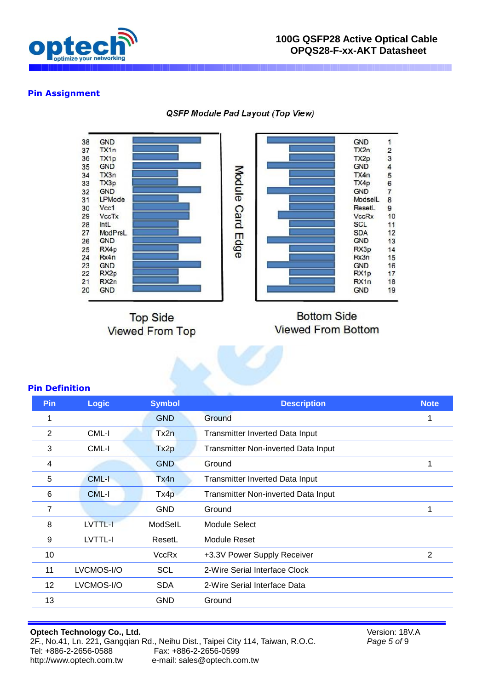

#### **Pin Assignment**

QSFP Module Pad Layout (Top View)



**Top Side Viewed From Top** 

# **Bottom Side Viewed From Bottom**

#### **Pin Definition**

| Pin             | <b>Logic</b> | <b>Symbol</b>    | <b>Description</b>                     | <b>Note</b> |
|-----------------|--------------|------------------|----------------------------------------|-------------|
| 1               |              | <b>GND</b>       | Ground                                 | 1           |
| 2               | CML-I        | Tx2n             | <b>Transmitter Inverted Data Input</b> |             |
| 3               | CML-I        | Tx <sub>2p</sub> | Transmitter Non-inverted Data Input    |             |
| 4               |              | <b>GND</b>       | Ground                                 | 1           |
| 5               | <b>CML-I</b> | Tx4n             | Transmitter Inverted Data Input        |             |
| 6               | CML-I        | Tx4p             | Transmitter Non-inverted Data Input    |             |
| 7               |              | <b>GND</b>       | Ground                                 | 1           |
| 8               | LVTTL-I      | ModSelL          | Module Select                          |             |
| 9               | LVTTL-I      | ResetL           | Module Reset                           |             |
| 10              |              | <b>VccRx</b>     | +3.3V Power Supply Receiver            | 2           |
| 11              | LVCMOS-I/O   | <b>SCL</b>       | 2-Wire Serial Interface Clock          |             |
| 12 <sup>°</sup> | LVCMOS-I/O   | <b>SDA</b>       | 2-Wire Serial Interface Data           |             |
| 13              |              | <b>GND</b>       | Ground                                 |             |
|                 |              |                  |                                        |             |

# **Optech Technology Co., Ltd.**

2F., No.41, Ln. 221, Gangqian Rd., Neihu Dist., Taipei City 114, Taiwan, R.O.C. Tel: +886-2-2656-0588 Fax: +886-2-2656-0599 [http://www.optech.com.tw](http://www.optech.com.tw/) e-mail: sales@optech.com.tw

Version: 18V.A *Page 5 of* 9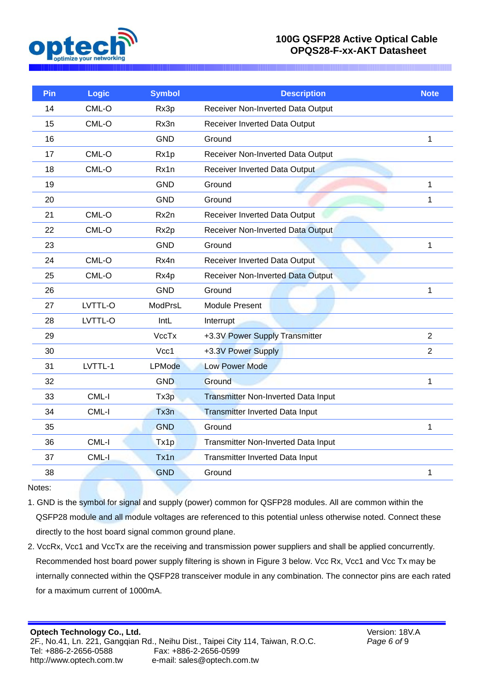

| Pin | Logic   | <b>Symbol</b> | <b>Description</b>                         | <b>Note</b>    |
|-----|---------|---------------|--------------------------------------------|----------------|
| 14  | CML-O   | Rx3p          | Receiver Non-Inverted Data Output          |                |
| 15  | CML-O   | Rx3n          | Receiver Inverted Data Output              |                |
| 16  |         | <b>GND</b>    | Ground                                     | 1              |
| 17  | CML-O   | Rx1p          | Receiver Non-Inverted Data Output          |                |
| 18  | CML-O   | Rx1n          | Receiver Inverted Data Output              |                |
| 19  |         | <b>GND</b>    | Ground                                     | $\mathbf{1}$   |
| 20  |         | <b>GND</b>    | Ground                                     | 1              |
| 21  | CML-O   | Rx2n          | Receiver Inverted Data Output              |                |
| 22  | CML-O   | Rx2p          | Receiver Non-Inverted Data Output          |                |
| 23  |         | <b>GND</b>    | Ground                                     | 1              |
| 24  | CML-O   | Rx4n          | Receiver Inverted Data Output              |                |
| 25  | CML-O   | Rx4p          | <b>Receiver Non-Inverted Data Output</b>   |                |
| 26  |         | <b>GND</b>    | Ground                                     | 1              |
| 27  | LVTTL-O | ModPrsL       | <b>Module Present</b>                      |                |
| 28  | LVTTL-O | IntL          | Interrupt                                  |                |
| 29  |         | <b>VccTx</b>  | +3.3V Power Supply Transmitter             | $\overline{2}$ |
| 30  |         | Vcc1          | +3.3V Power Supply                         | $\overline{2}$ |
| 31  | LVTTL-1 | <b>LPMode</b> | <b>Low Power Mode</b>                      |                |
| 32  |         | <b>GND</b>    | Ground                                     | 1              |
| 33  | CML-I   | Tx3p          | <b>Transmitter Non-Inverted Data Input</b> |                |
| 34  | CML-I   | Tx3n          | <b>Transmitter Inverted Data Input</b>     |                |
| 35  |         | <b>GND</b>    | Ground                                     | 1              |
| 36  | CML-I   | Tx1p          | Transmitter Non-Inverted Data Input        |                |
| 37  | CML-I   | Tx1n          | Transmitter Inverted Data Input            |                |
| 38  |         | <b>GND</b>    | Ground                                     | 1              |
|     |         |               |                                            |                |

Notes:

1. GND is the symbol for signal and supply (power) common for QSFP28 modules. All are common within the QSFP28 module and all module voltages are referenced to this potential unless otherwise noted. Connect these directly to the host board signal common ground plane.

2. VccRx, Vcc1 and VccTx are the receiving and transmission power suppliers and shall be applied concurrently. Recommended host board power supply filtering is shown in Figure 3 below. Vcc Rx, Vcc1 and Vcc Tx may be internally connected within the QSFP28 transceiver module in any combination. The connector pins are each rated for a maximum current of 1000mA.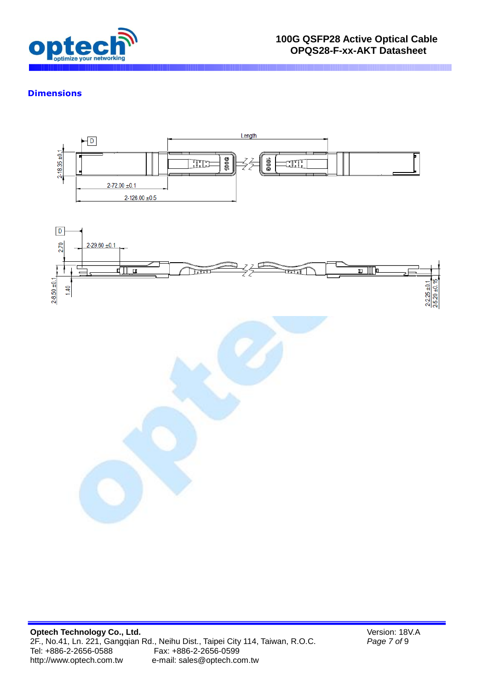

#### **Dimensions**



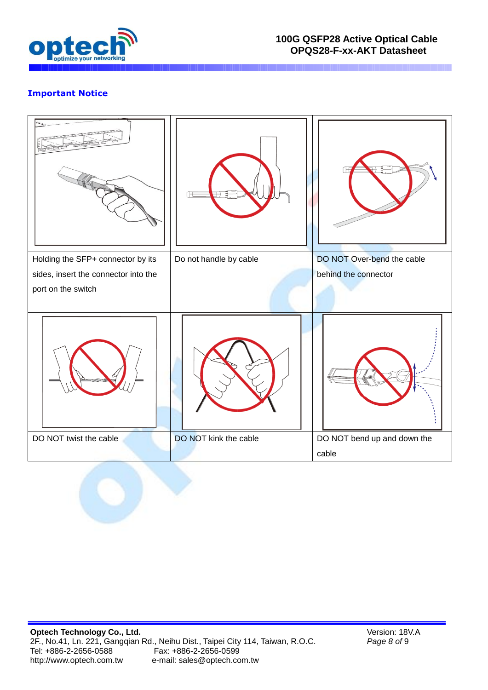

# **Important Notice**



Version: 18V.A *Page 8 of* 9